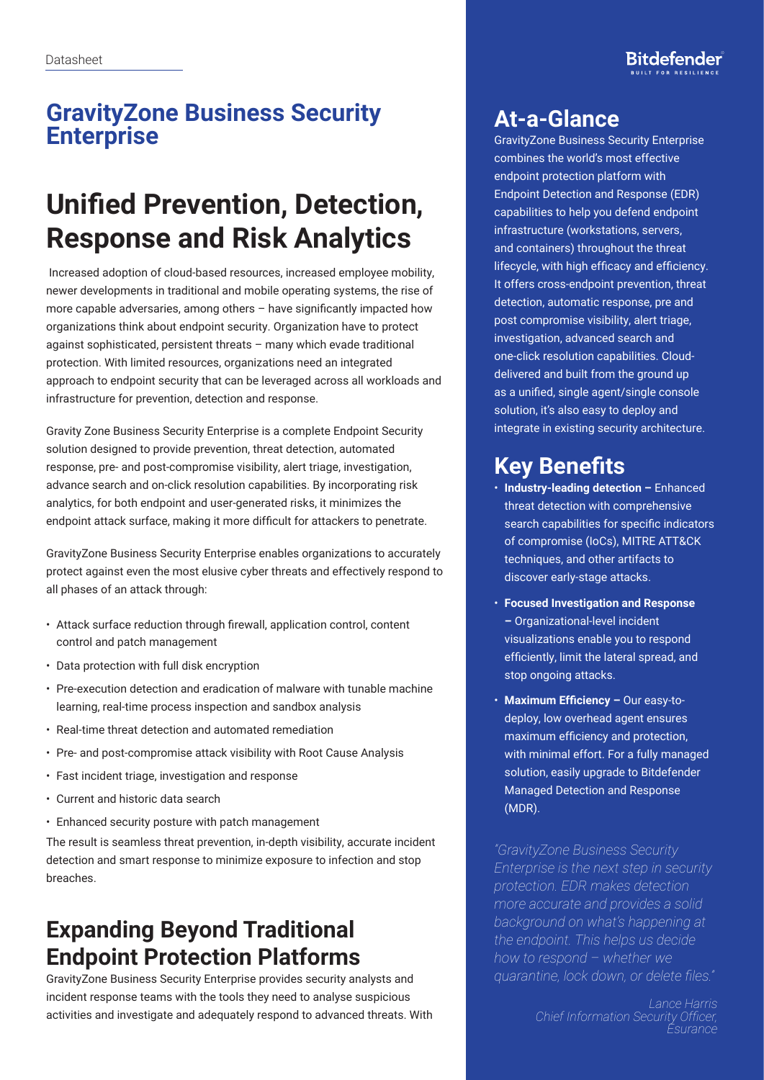#### **GravityZone Business Security Enterprise**

# **Unified Prevention, Detection, Response and Risk Analytics**

 Increased adoption of cloud-based resources, increased employee mobility, newer developments in traditional and mobile operating systems, the rise of more capable adversaries, among others – have significantly impacted how organizations think about endpoint security. Organization have to protect against sophisticated, persistent threats – many which evade traditional protection. With limited resources, organizations need an integrated approach to endpoint security that can be leveraged across all workloads and infrastructure for prevention, detection and response.

Gravity Zone Business Security Enterprise is a complete Endpoint Security solution designed to provide prevention, threat detection, automated response, pre- and post-compromise visibility, alert triage, investigation, advance search and on-click resolution capabilities. By incorporating risk analytics, for both endpoint and user-generated risks, it minimizes the endpoint attack surface, making it more difficult for attackers to penetrate.

GravityZone Business Security Enterprise enables organizations to accurately protect against even the most elusive cyber threats and effectively respond to all phases of an attack through:

- Attack surface reduction through firewall, application control, content control and patch management
- Data protection with full disk encryption
- Pre-execution detection and eradication of malware with tunable machine learning, real-time process inspection and sandbox analysis
- Real-time threat detection and automated remediation
- Pre- and post-compromise attack visibility with Root Cause Analysis
- Fast incident triage, investigation and response
- Current and historic data search
- Enhanced security posture with patch management

The result is seamless threat prevention, in-depth visibility, accurate incident detection and smart response to minimize exposure to infection and stop breaches.

## **Expanding Beyond Traditional Endpoint Protection Platforms**

GravityZone Business Security Enterprise provides security analysts and incident response teams with the tools they need to analyse suspicious activities and investigate and adequately respond to advanced threats. With

#### **At-a-Glance**

GravityZone Business Security Enterprise combines the world's most effective endpoint protection platform with Endpoint Detection and Response (EDR) capabilities to help you defend endpoint infrastructure (workstations, servers, and containers) throughout the threat lifecycle, with high efficacy and efficiency. It offers cross-endpoint prevention, threat detection, automatic response, pre and post compromise visibility, alert triage, investigation, advanced search and one-click resolution capabilities. Clouddelivered and built from the ground up as a unified, single agent/single console solution, it's also easy to deploy and integrate in existing security architecture.

### **Key Benefits**

- **Industry-leading detection –** Enhanced threat detection with comprehensive search capabilities for specific indicators of compromise (IoCs), MITRE ATT&CK techniques, and other artifacts to discover early-stage attacks.
- **Focused Investigation and Response –** Organizational-level incident visualizations enable you to respond efficiently, limit the lateral spread, and stop ongoing attacks.
- **Maximum Efficiency –** Our easy-todeploy, low overhead agent ensures maximum efficiency and protection, with minimal effort. For a fully managed solution, easily upgrade to Bitdefender Managed Detection and Response (MDR).

*"GravityZone Business Security Enterprise is the next step in security protection. EDR makes detection more accurate and provides a solid background on what's happening at the endpoint. This helps us decide how to respond – whether we quarantine, lock down, or delete files."*

> *Lance Harris Chief Information Security Officer, Esurance*